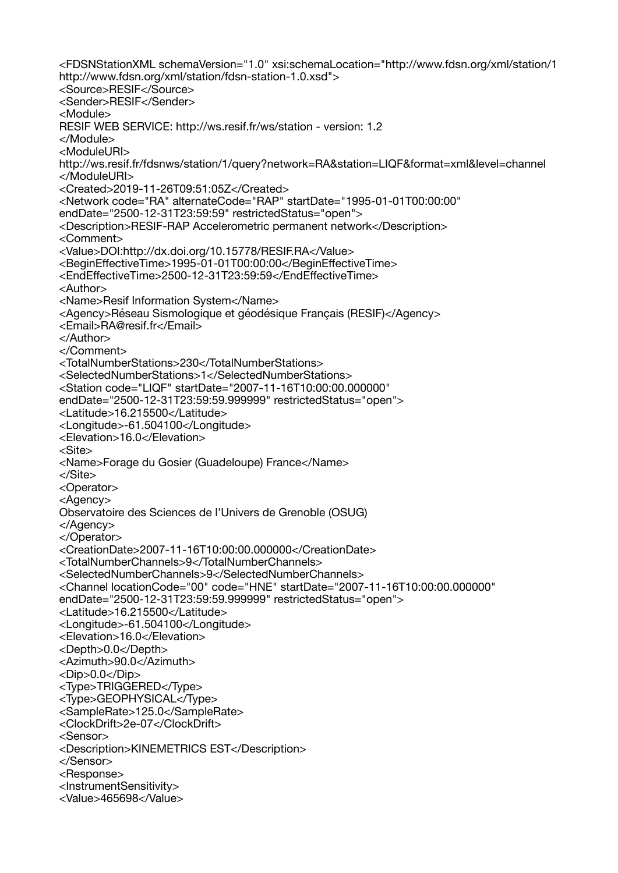<FDSNStationXML schemaVersion="1.0" xsi:schemaLocation="http://www.fdsn.org/xml/station/1 http://www.fdsn.org/xml/station/fdsn-station-1.0.xsd"> <Source>RESIF</Source> <Sender>RESIF</Sender> <Module> RESIF WEB SERVICE: http://ws.resif.fr/ws/station - version: 1.2 </Module> <ModuleURI> http://ws.resif.fr/fdsnws/station/1/query?network=RA&station=LIQF&format=xml&level=channel </ModuleURI> <Created>2019-11-26T09:51:05Z</Created> <Network code="RA" alternateCode="RAP" startDate="1995-01-01T00:00:00" endDate="2500-12-31T23:59:59" restrictedStatus="open"> <Description>RESIF-RAP Accelerometric permanent network</Description> <Comment> <Value>DOI:http://dx.doi.org/10.15778/RESIF.RA</Value> <BeginEffectiveTime>1995-01-01T00:00:00</BeginEffectiveTime> <EndEffectiveTime>2500-12-31T23:59:59</EndEffectiveTime> <Author> <Name>Resif Information System</Name> <Agency>Réseau Sismologique et géodésique Français (RESIF)</Agency> <Email>RA@resif.fr</Email> </Author> </Comment> <TotalNumberStations>230</TotalNumberStations> <SelectedNumberStations>1</SelectedNumberStations> <Station code="LIQF" startDate="2007-11-16T10:00:00.000000" endDate="2500-12-31T23:59:59.999999" restrictedStatus="open"> <Latitude>16.215500</Latitude> <Longitude>-61.504100</Longitude> <Elevation>16.0</Elevation> <Site> <Name>Forage du Gosier (Guadeloupe) France</Name> </Site> <Operator> <Agency> Observatoire des Sciences de l'Univers de Grenoble (OSUG) </Agency> </Operator> <CreationDate>2007-11-16T10:00:00.000000</CreationDate> <TotalNumberChannels>9</TotalNumberChannels> <SelectedNumberChannels>9</SelectedNumberChannels> <Channel locationCode="00" code="HNE" startDate="2007-11-16T10:00:00.000000" endDate="2500-12-31T23:59:59.999999" restrictedStatus="open"> <Latitude>16.215500</Latitude> <Longitude>-61.504100</Longitude> <Elevation>16.0</Elevation> <Depth>0.0</Depth> <Azimuth>90.0</Azimuth> <Dip>0.0</Dip> <Type>TRIGGERED</Type> <Type>GEOPHYSICAL</Type> <SampleRate>125.0</SampleRate> <ClockDrift>2e-07</ClockDrift> <Sensor> <Description>KINEMETRICS EST</Description> </Sensor> <Response> <InstrumentSensitivity> <Value>465698</Value>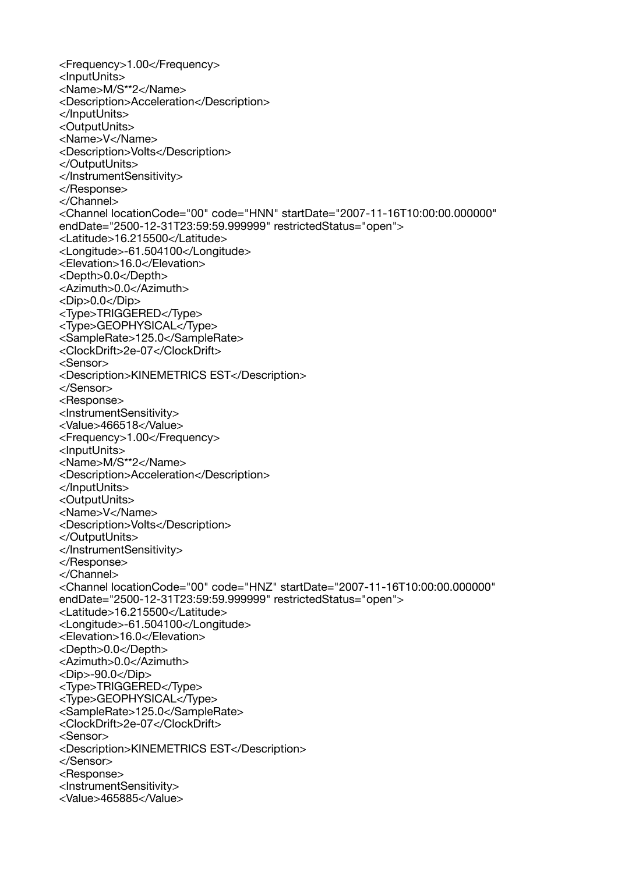<Frequency>1.00</Frequency> <InputUnits> <Name>M/S\*\*2</Name> <Description>Acceleration</Description> </InputUnits> <OutputUnits> <Name>V</Name> <Description>Volts</Description> </OutputUnits> </InstrumentSensitivity> </Response> </Channel> <Channel locationCode="00" code="HNN" startDate="2007-11-16T10:00:00.000000" endDate="2500-12-31T23:59:59.999999" restrictedStatus="open"> <Latitude>16.215500</Latitude> <Longitude>-61.504100</Longitude> <Elevation>16.0</Elevation> <Depth>0.0</Depth> <Azimuth>0.0</Azimuth> <Dip>0.0</Dip> <Type>TRIGGERED</Type> <Type>GEOPHYSICAL</Type> <SampleRate>125.0</SampleRate> <ClockDrift>2e-07</ClockDrift> <Sensor> <Description>KINEMETRICS EST</Description> </Sensor> <Response> <InstrumentSensitivity> <Value>466518</Value> <Frequency>1.00</Frequency> <InputUnits> <Name>M/S\*\*2</Name> <Description>Acceleration</Description> </InputUnits> <OutputUnits> <Name>V</Name> <Description>Volts</Description> </OutputUnits> </InstrumentSensitivity> </Response> </Channel> <Channel locationCode="00" code="HNZ" startDate="2007-11-16T10:00:00.000000" endDate="2500-12-31T23:59:59.999999" restrictedStatus="open"> <Latitude>16.215500</Latitude> <Longitude>-61.504100</Longitude> <Elevation>16.0</Elevation> <Depth>0.0</Depth> <Azimuth>0.0</Azimuth> <Dip>-90.0</Dip> <Type>TRIGGERED</Type> <Type>GEOPHYSICAL</Type> <SampleRate>125.0</SampleRate> <ClockDrift>2e-07</ClockDrift> <Sensor> <Description>KINEMETRICS EST</Description> </Sensor> <Response> <InstrumentSensitivity> <Value>465885</Value>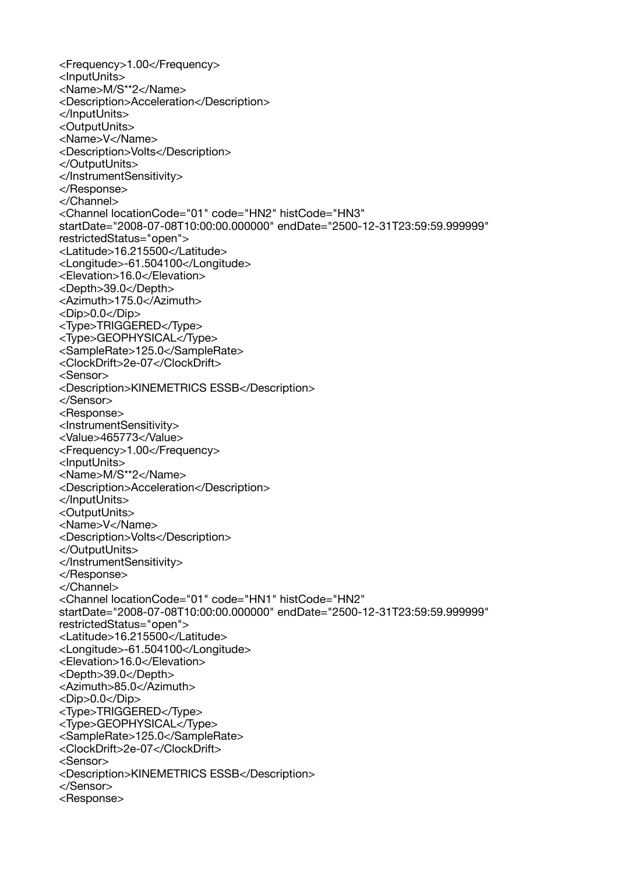<Frequency>1.00</Frequency> <InputUnits> <Name>M/S\*\*2</Name> <Description>Acceleration</Description> </InputUnits> <OutputUnits> <Name>V</Name> <Description>Volts</Description> </OutputUnits> </InstrumentSensitivity> </Response> </Channel> <Channel locationCode="01" code="HN2" histCode="HN3" startDate="2008-07-08T10:00:00.000000" endDate="2500-12-31T23:59:59.999999" restrictedStatus="open"> <Latitude>16.215500</Latitude> <Longitude>-61.504100</Longitude> <Elevation>16.0</Elevation> <Depth>39.0</Depth> <Azimuth>175.0</Azimuth> <Dip>0.0</Dip> <Type>TRIGGERED</Type> <Type>GEOPHYSICAL</Type> <SampleRate>125.0</SampleRate> <ClockDrift>2e-07</ClockDrift> <Sensor> <Description>KINEMETRICS ESSB</Description> </Sensor> <Response> <InstrumentSensitivity> <Value>465773</Value> <Frequency>1.00</Frequency> <InputUnits> <Name>M/S\*\*2</Name> <Description>Acceleration</Description> </InputUnits> <OutputUnits> <Name>V</Name> <Description>Volts</Description> </OutputUnits> </InstrumentSensitivity> </Response> </Channel> <Channel locationCode="01" code="HN1" histCode="HN2" startDate="2008-07-08T10:00:00.000000" endDate="2500-12-31T23:59:59.999999" restrictedStatus="open"> <Latitude>16.215500</Latitude> <Longitude>-61.504100</Longitude> <Elevation>16.0</Elevation> <Depth>39.0</Depth> <Azimuth>85.0</Azimuth> <Dip>0.0</Dip> <Type>TRIGGERED</Type> <Type>GEOPHYSICAL</Type> <SampleRate>125.0</SampleRate> <ClockDrift>2e-07</ClockDrift> <Sensor> <Description>KINEMETRICS ESSB</Description> </Sensor> <Response>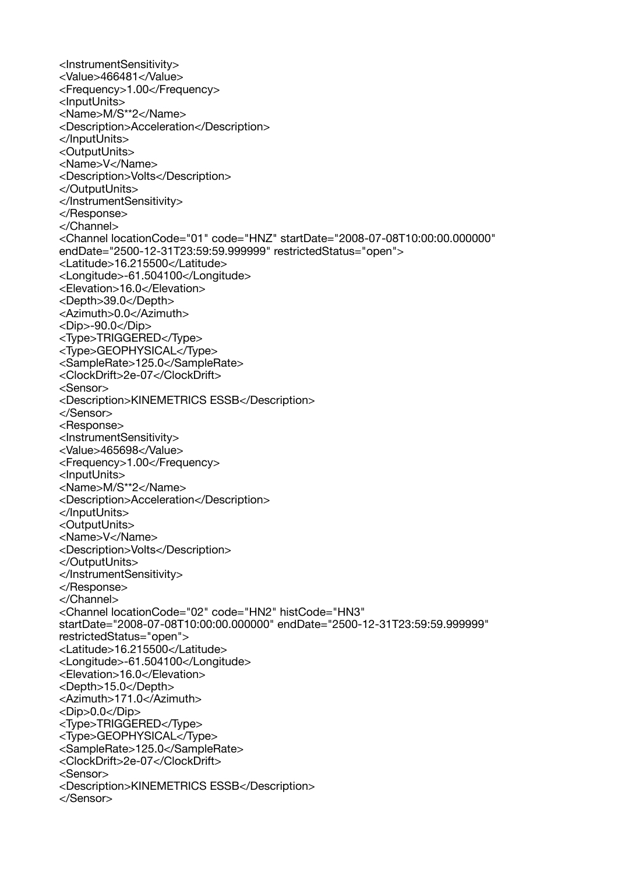<InstrumentSensitivity> <Value>466481</Value> <Frequency>1.00</Frequency> <InputUnits> <Name>M/S\*\*2</Name> <Description>Acceleration</Description> </InputUnits> <OutputUnits> <Name>V</Name> <Description>Volts</Description> </OutputUnits> </InstrumentSensitivity> </Response> </Channel> <Channel locationCode="01" code="HNZ" startDate="2008-07-08T10:00:00.000000" endDate="2500-12-31T23:59:59.999999" restrictedStatus="open"> <Latitude>16.215500</Latitude> <Longitude>-61.504100</Longitude> <Elevation>16.0</Elevation> <Depth>39.0</Depth> <Azimuth>0.0</Azimuth> <Dip>-90.0</Dip> <Type>TRIGGERED</Type> <Type>GEOPHYSICAL</Type> <SampleRate>125.0</SampleRate> <ClockDrift>2e-07</ClockDrift> <Sensor> <Description>KINEMETRICS ESSB</Description> </Sensor> <Response> <InstrumentSensitivity> <Value>465698</Value> <Frequency>1.00</Frequency> <InputUnits> <Name>M/S\*\*2</Name> <Description>Acceleration</Description> </InputUnits> <OutputUnits> <Name>V</Name> <Description>Volts</Description> </OutputUnits> </InstrumentSensitivity> </Response> </Channel> <Channel locationCode="02" code="HN2" histCode="HN3" startDate="2008-07-08T10:00:00.000000" endDate="2500-12-31T23:59:59.999999" restrictedStatus="open"> <Latitude>16.215500</Latitude> <Longitude>-61.504100</Longitude> <Elevation>16.0</Elevation> <Depth>15.0</Depth> <Azimuth>171.0</Azimuth> <Dip>0.0</Dip> <Type>TRIGGERED</Type> <Type>GEOPHYSICAL</Type> <SampleRate>125.0</SampleRate> <ClockDrift>2e-07</ClockDrift> <Sensor> <Description>KINEMETRICS ESSB</Description> </Sensor>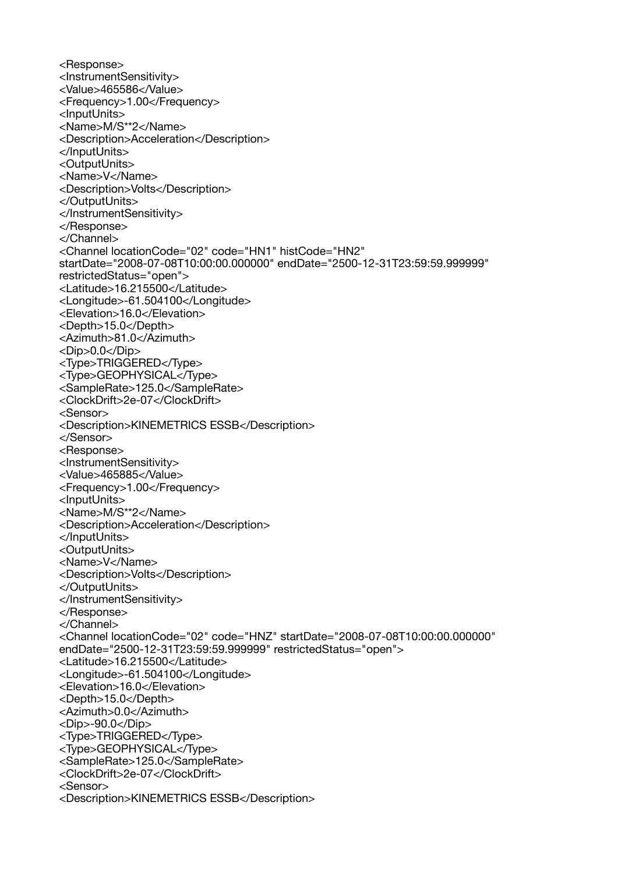<Response> <InstrumentSensitivity> <Value>465586</Value> <Frequency>1.00</Frequency> <InputUnits> <Name>M/S\*\*2</Name> <Description>Acceleration</Description> </InputUnits> <OutputUnits> <Name>V</Name> <Description>Volts</Description> </OutputUnits> </InstrumentSensitivity> </Response> </Channel> <Channel locationCode="02" code="HN1" histCode="HN2" startDate="2008-07-08T10:00:00.000000" endDate="2500-12-31T23:59:59.999999" restrictedStatus="open"> <Latitude>16.215500</Latitude> <Longitude>-61.504100</Longitude> <Elevation>16.0</Elevation> <Depth>15.0</Depth> <Azimuth>81.0</Azimuth> <Dip>0.0</Dip> <Type>TRIGGERED</Type> <Type>GEOPHYSICAL</Type> <SampleRate>125.0</SampleRate> <ClockDrift>2e-07</ClockDrift> <Sensor> <Description>KINEMETRICS ESSB</Description> </Sensor> <Response> <InstrumentSensitivity> <Value>465885</Value> <Frequency>1.00</Frequency> <InputUnits> <Name>M/S\*\*2</Name> <Description>Acceleration</Description> </InputUnits> <OutputUnits> <Name>V</Name> <Description>Volts</Description> </OutputUnits> </InstrumentSensitivity> </Response> </Channel> <Channel locationCode="02" code="HNZ" startDate="2008-07-08T10:00:00.000000" endDate="2500-12-31T23:59:59.999999" restrictedStatus="open"> <Latitude>16.215500</Latitude> <Longitude>-61.504100</Longitude> <Elevation>16.0</Elevation> <Depth>15.0</Depth> <Azimuth>0.0</Azimuth> <Dip>-90.0</Dip> <Type>TRIGGERED</Type> <Type>GEOPHYSICAL</Type> <SampleRate>125.0</SampleRate> <ClockDrift>2e-07</ClockDrift> <Sensor> <Description>KINEMETRICS ESSB</Description>